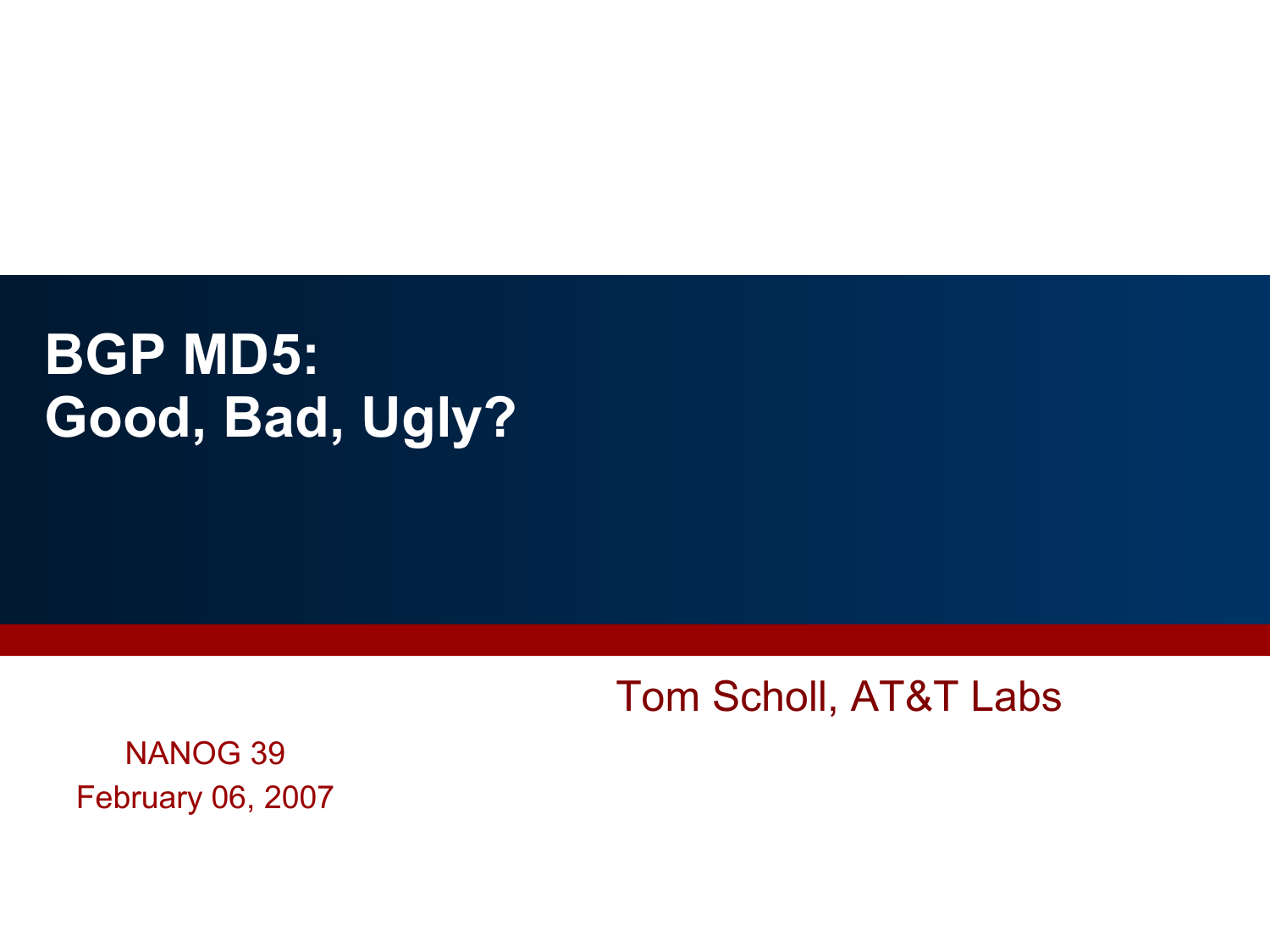# **BGP MD5: Good, Bad, Ugly?**

Tom Scholl, AT&T Labs

NANOG 39 February 06, 2007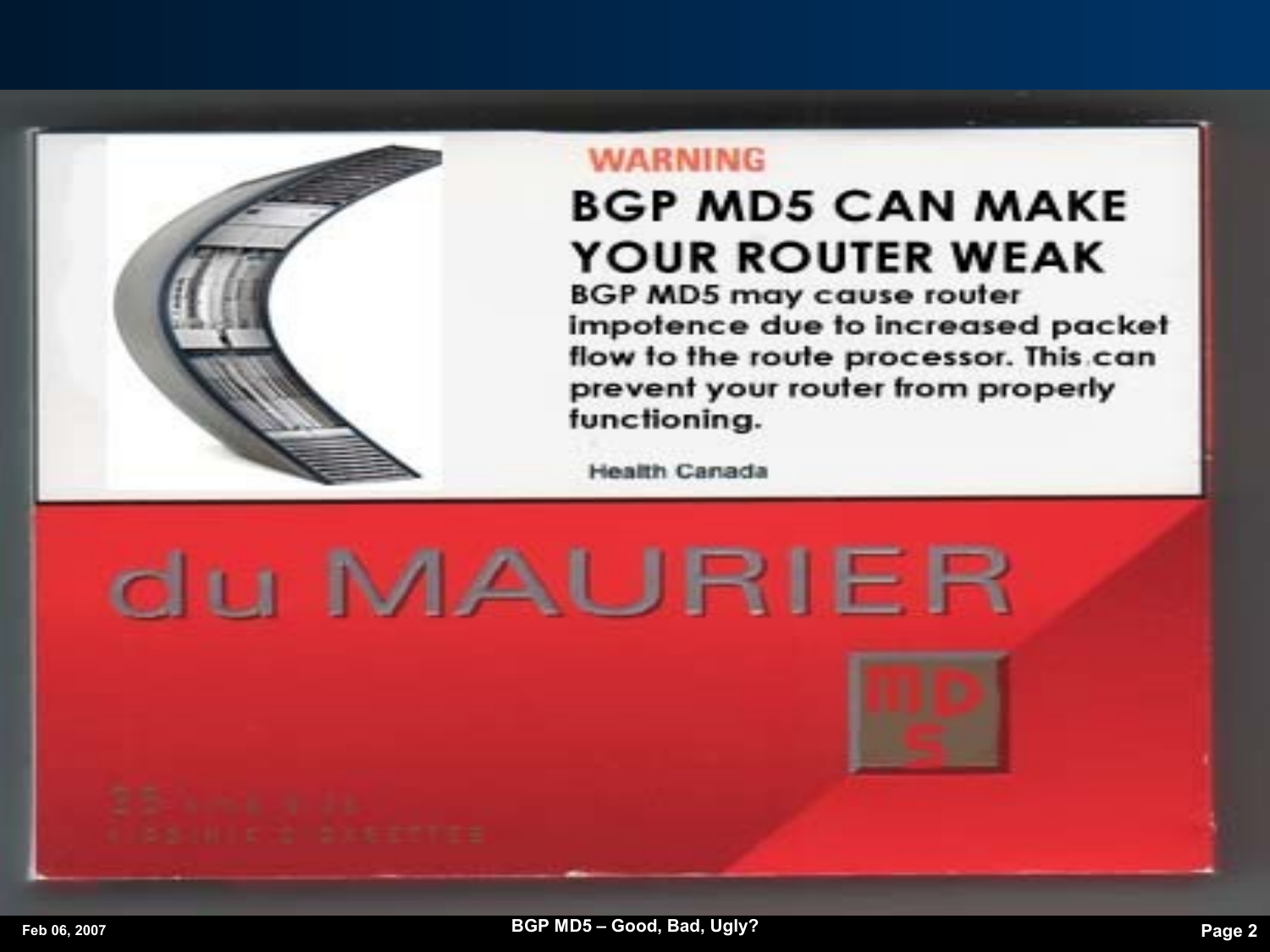

#### **WARNING**

## **BGP MD5 CAN MAKE YOUR ROUTER WEAK**

**BGP MD5 may cause router** impotence due to increased packet flow to the route processor. This can prevent your router from properly functioning.

**Health Canada** 

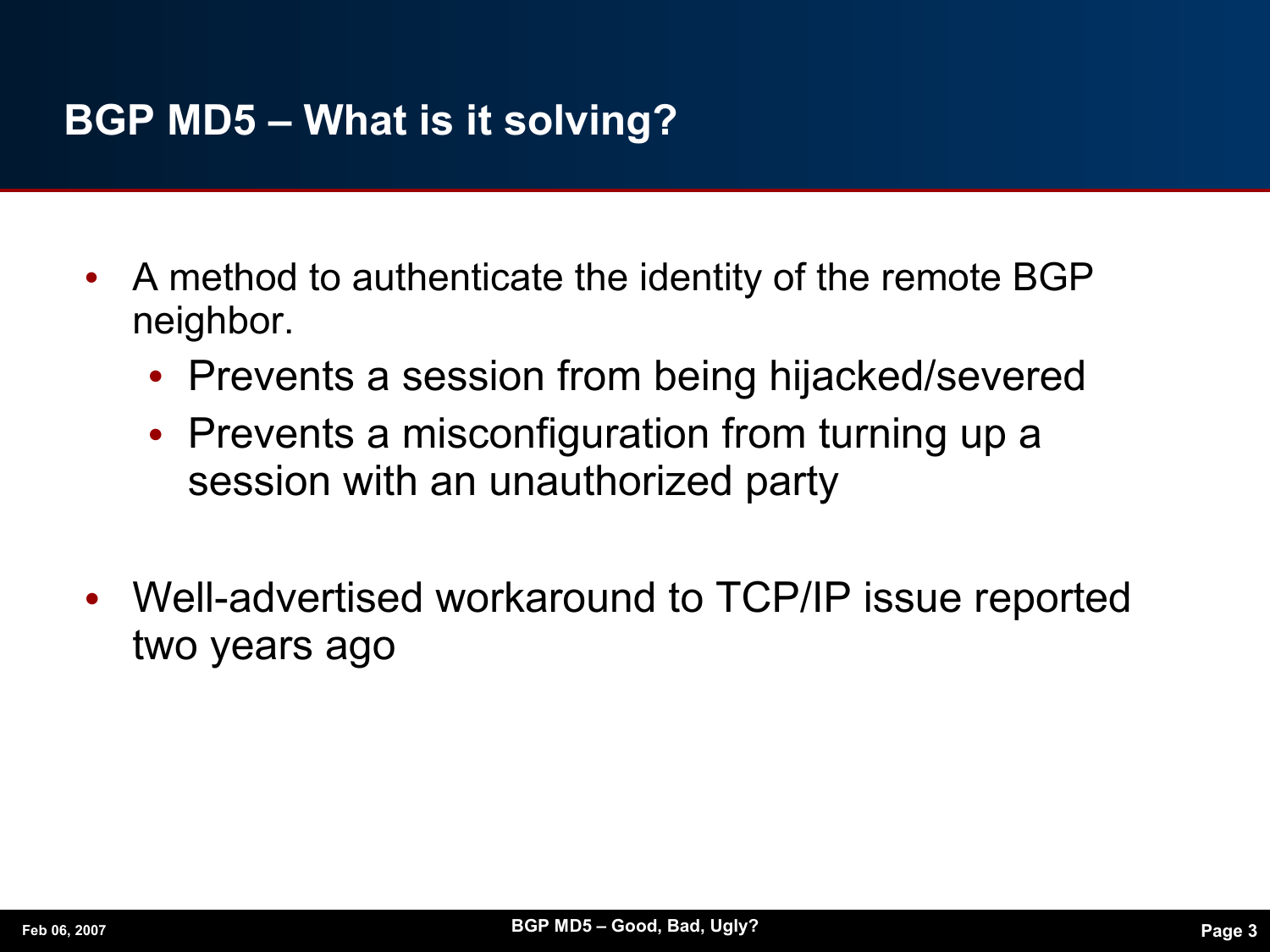### **BGP MD5 – What is it solving?**

- **•** A method to authenticate the identity of the remote BGP neighbor.
	- **•** Prevents a session from being hijacked/severed
	- **•** Prevents a misconfiguration from turning up a session with an unauthorized party
- **•** Well-advertised workaround to TCP/IP issue reported two years ago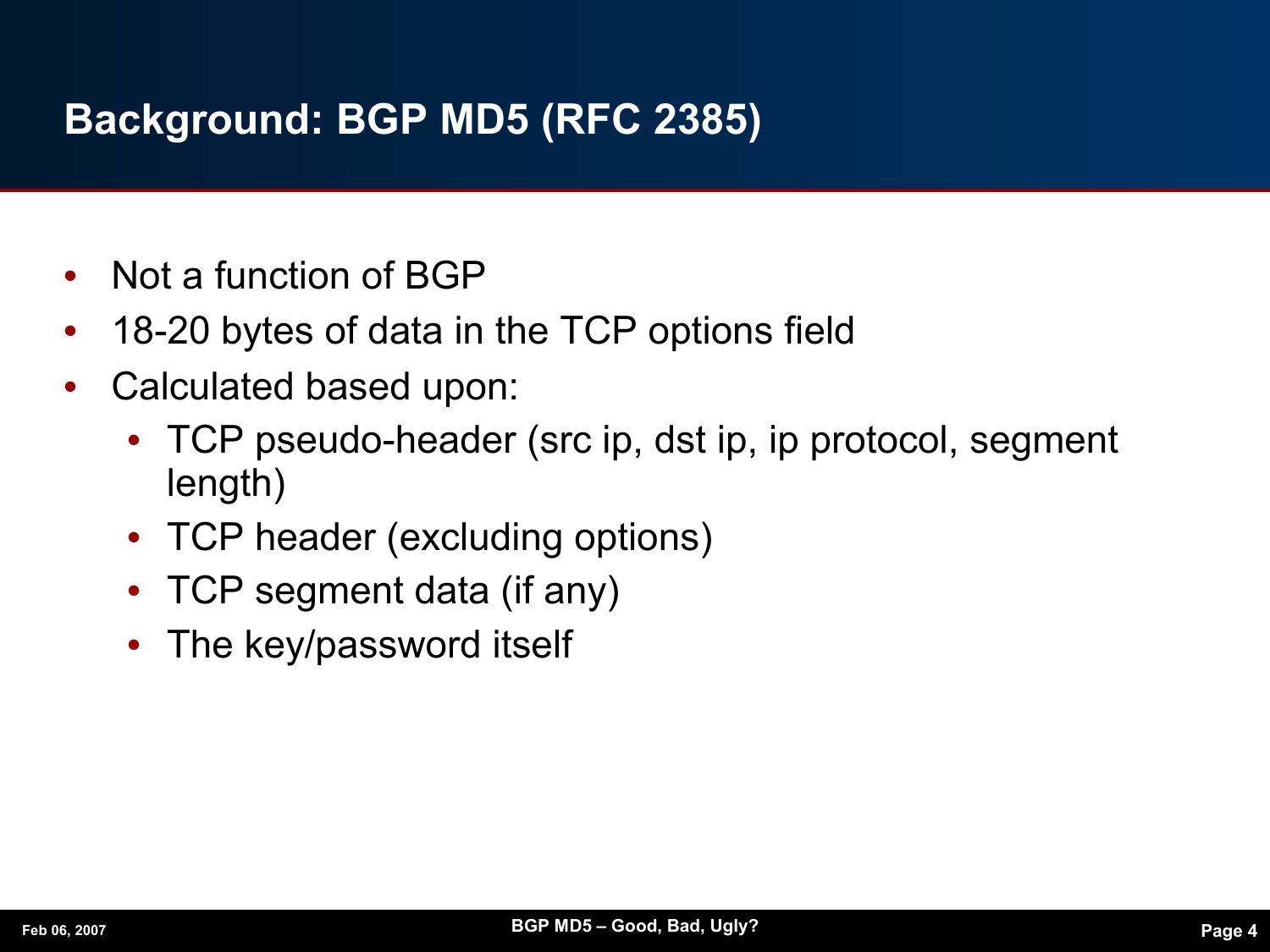#### **Background: BGP MD5 (RFC 2385)**

- **•** Not a function of BGP
- **•** 18-20 bytes of data in the TCP options field
- **•** Calculated based upon:
	- **•** TCP pseudo-header (src ip, dst ip, ip protocol, segment length)
	- **•** TCP header (excluding options)
	- **•** TCP segment data (if any)
	- **•** The key/password itself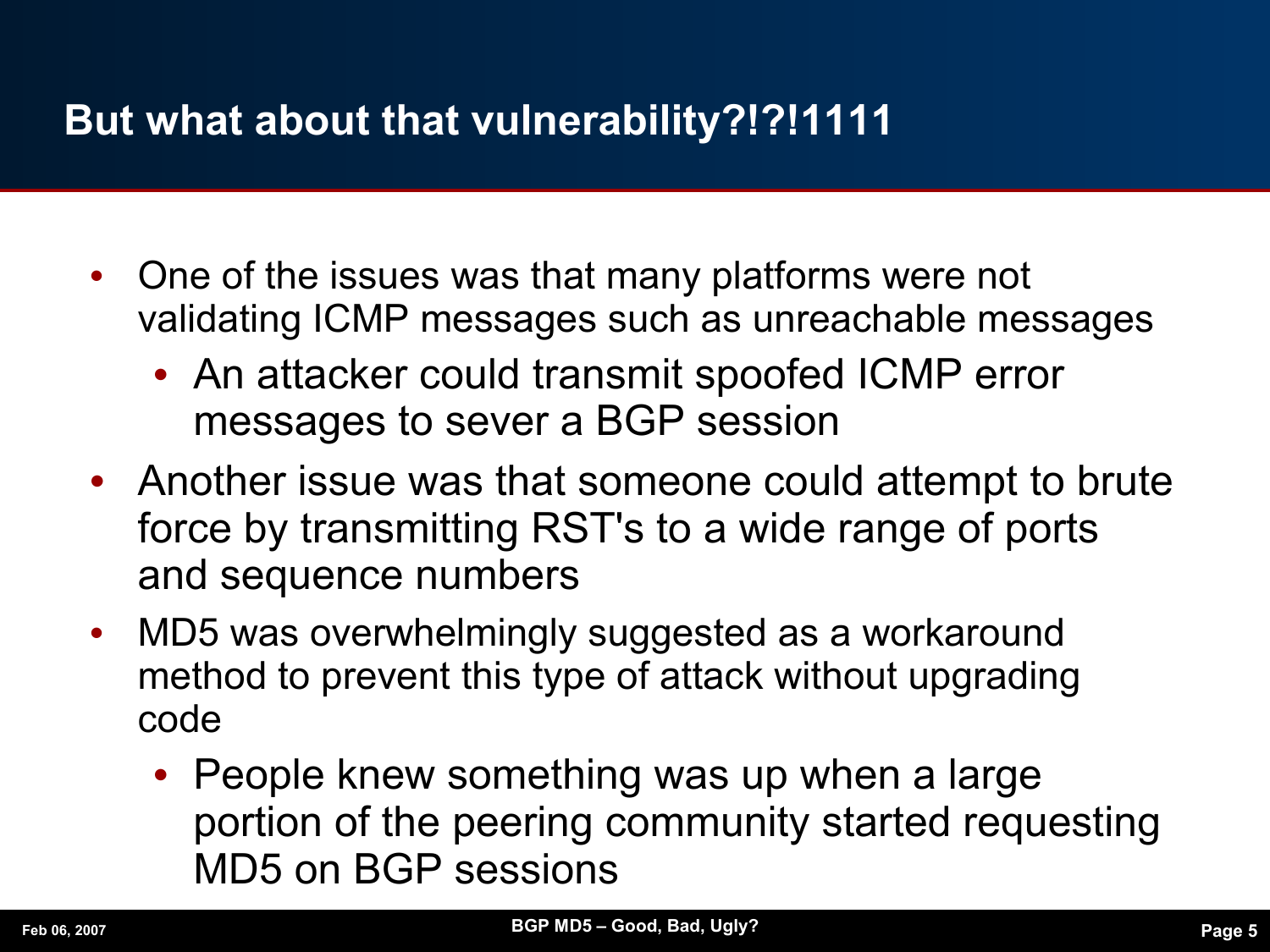### **But what about that vulnerability?!?!1111**

- **•** One of the issues was that many platforms were not validating ICMP messages such as unreachable messages
	- **•** An attacker could transmit spoofed ICMP error messages to sever a BGP session
- **•** Another issue was that someone could attempt to brute force by transmitting RST's to a wide range of ports and sequence numbers
- **•** MD5 was overwhelmingly suggested as a workaround method to prevent this type of attack without upgrading code
	- **•** People knew something was up when a large portion of the peering community started requesting MD5 on BGP sessions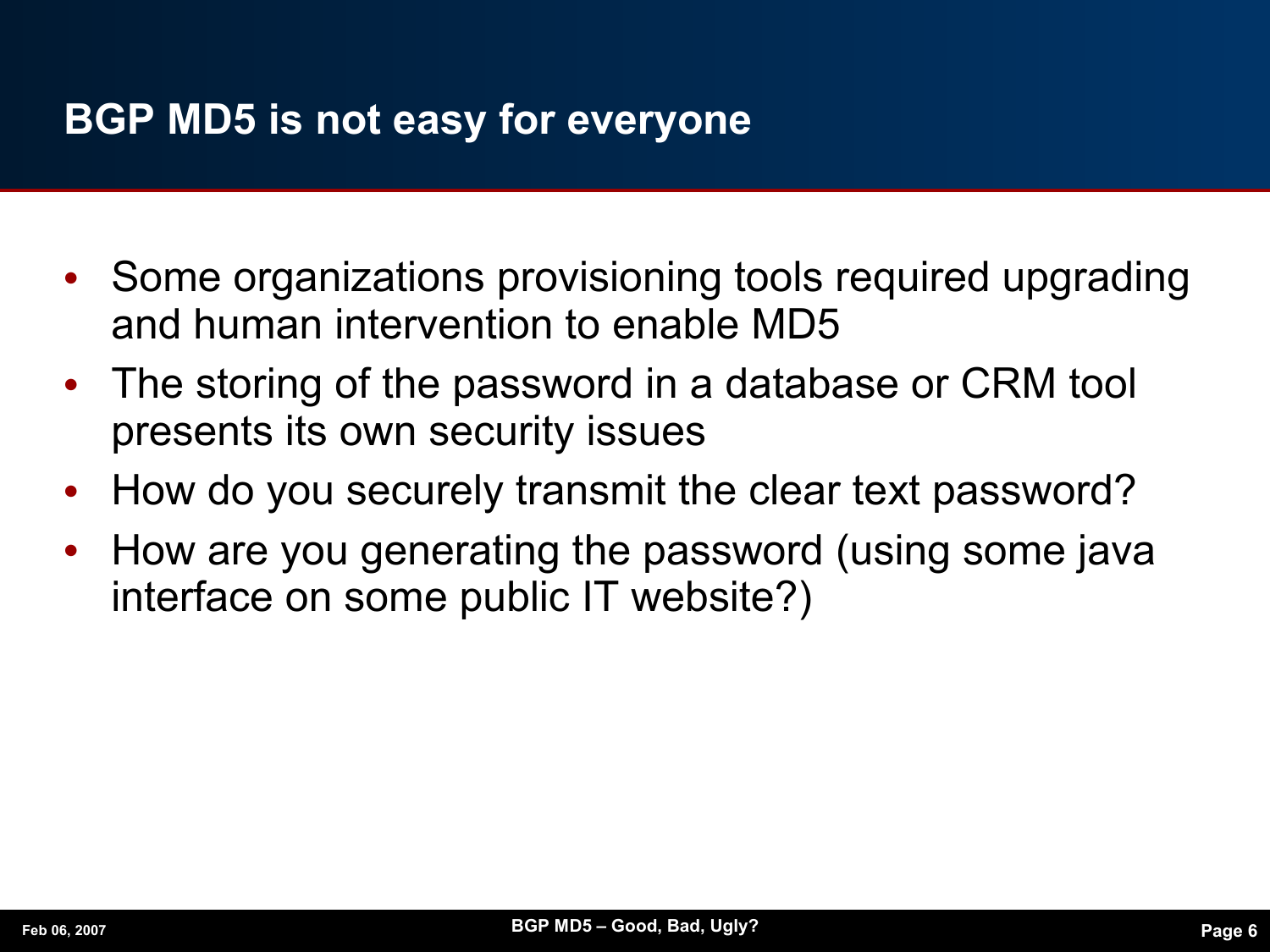#### **BGP MD5 is not easy for everyone**

- **•** Some organizations provisioning tools required upgrading and human intervention to enable MD5
- **•** The storing of the password in a database or CRM tool presents its own security issues
- **•** How do you securely transmit the clear text password?
- **•** How are you generating the password (using some java interface on some public IT website?)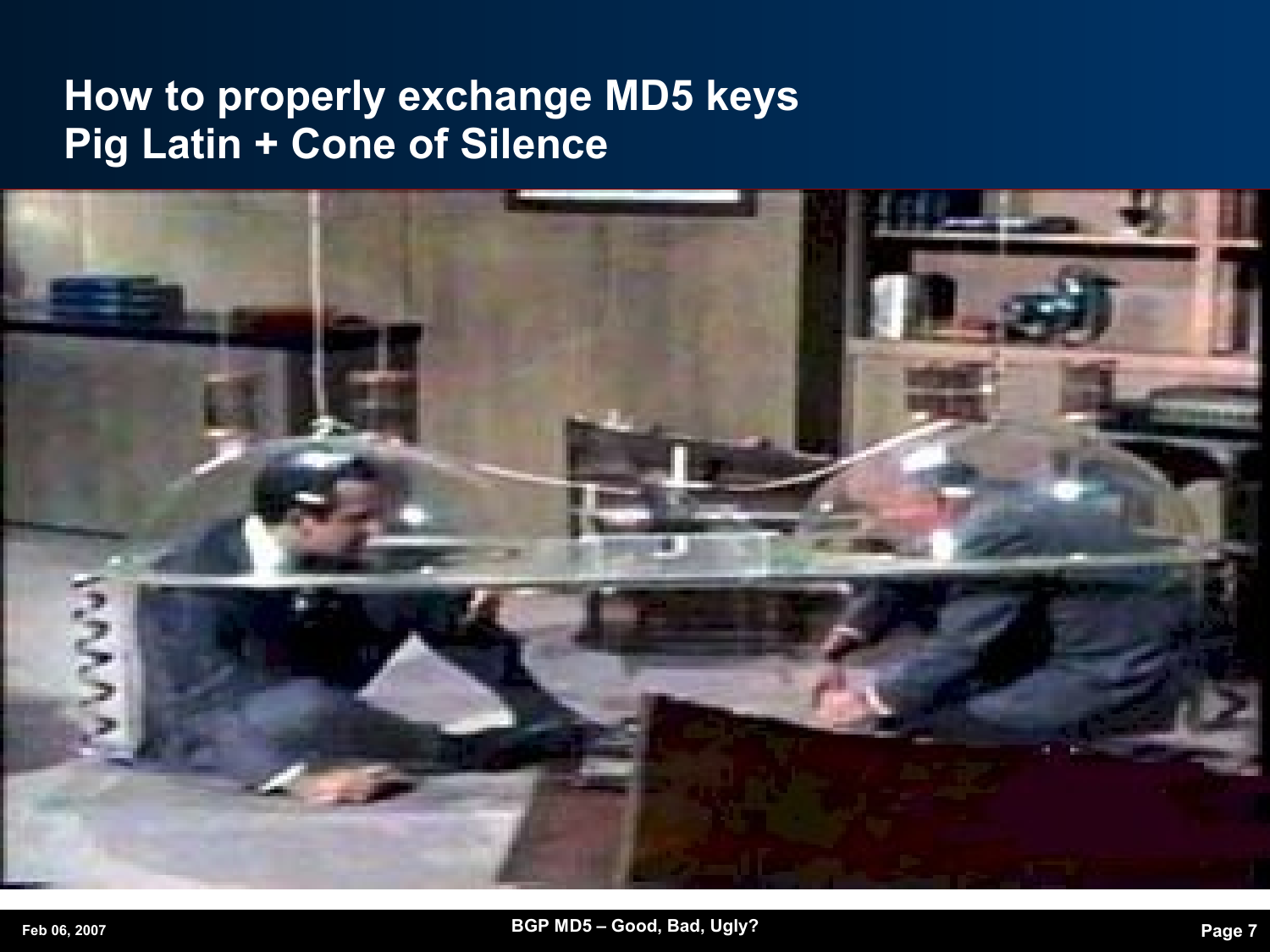#### **How to properly exchange MD5 keys Pig Latin + Cone of Silence**

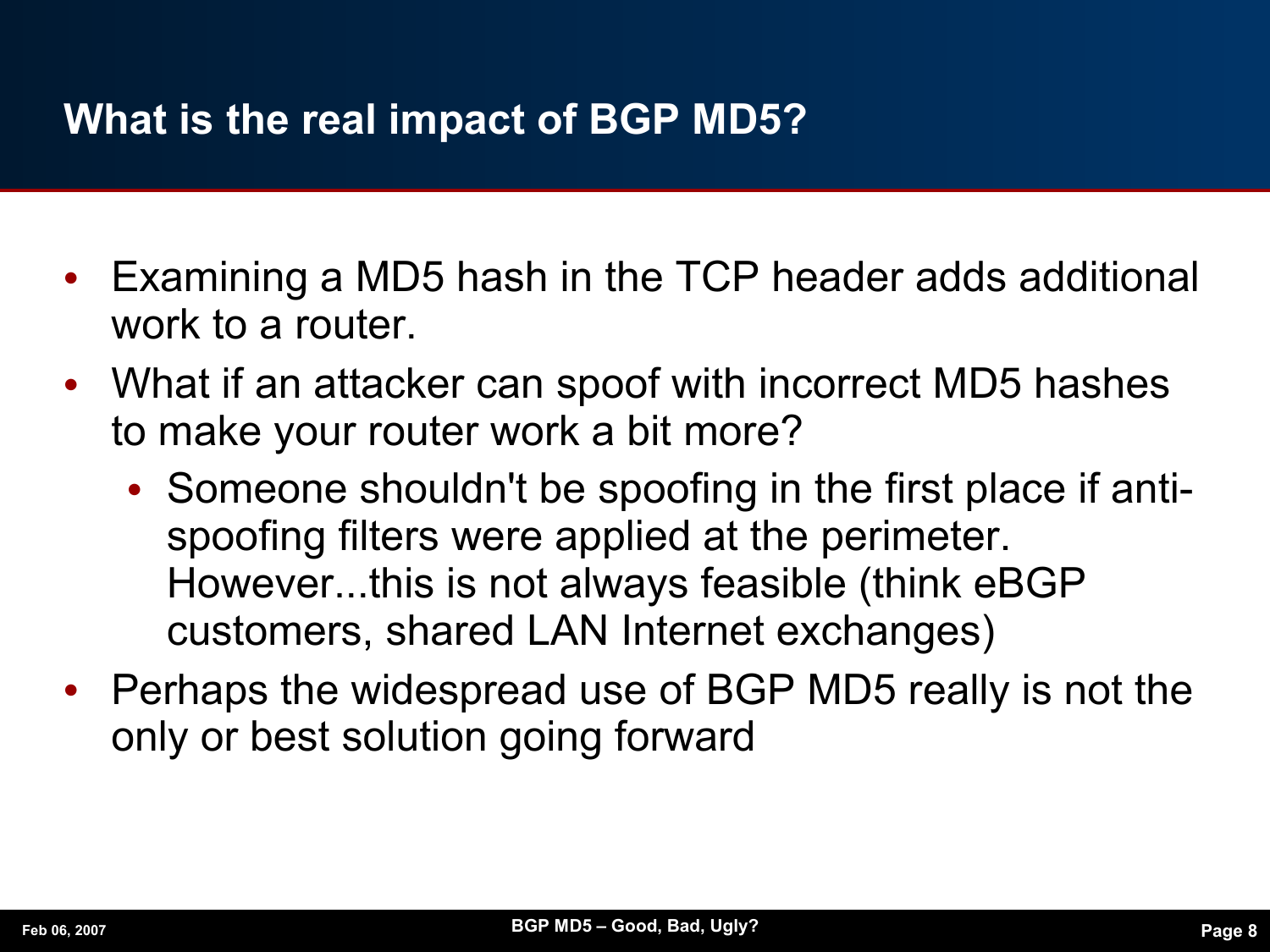#### **What is the real impact of BGP MD5?**

- **•** Examining a MD5 hash in the TCP header adds additional work to a router.
- **•** What if an attacker can spoof with incorrect MD5 hashes to make your router work a bit more?
	- **•** Someone shouldn't be spoofing in the first place if antispoofing filters were applied at the perimeter. However...this is not always feasible (think eBGP customers, shared LAN Internet exchanges)
- **•** Perhaps the widespread use of BGP MD5 really is not the only or best solution going forward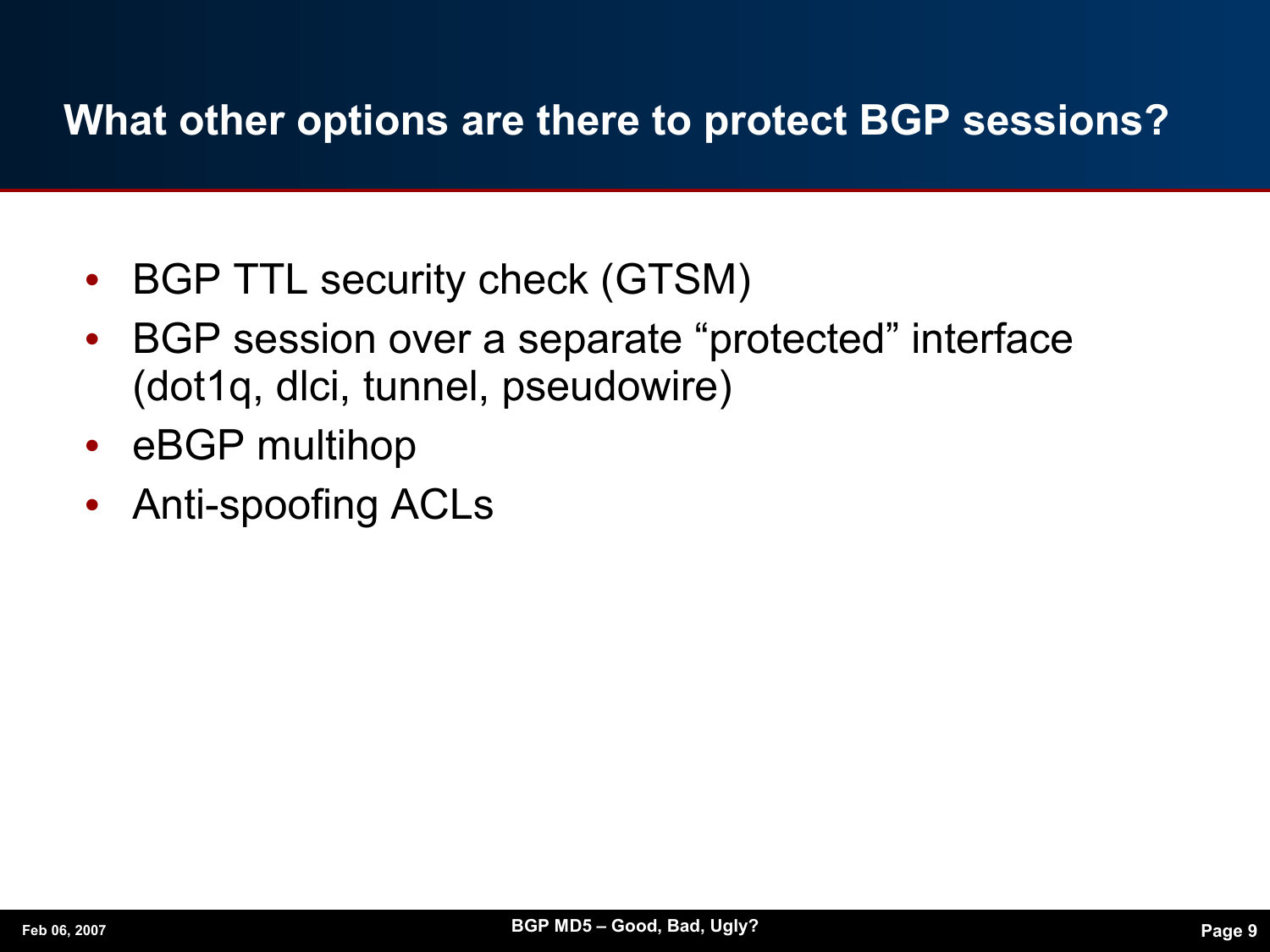#### **What other options are there to protect BGP sessions?**

- **•** BGP TTL security check (GTSM)
- **•** BGP session over a separate "protected" interface (dot1q, dlci, tunnel, pseudowire)
- **•** eBGP multihop
- **•** Anti-spoofing ACLs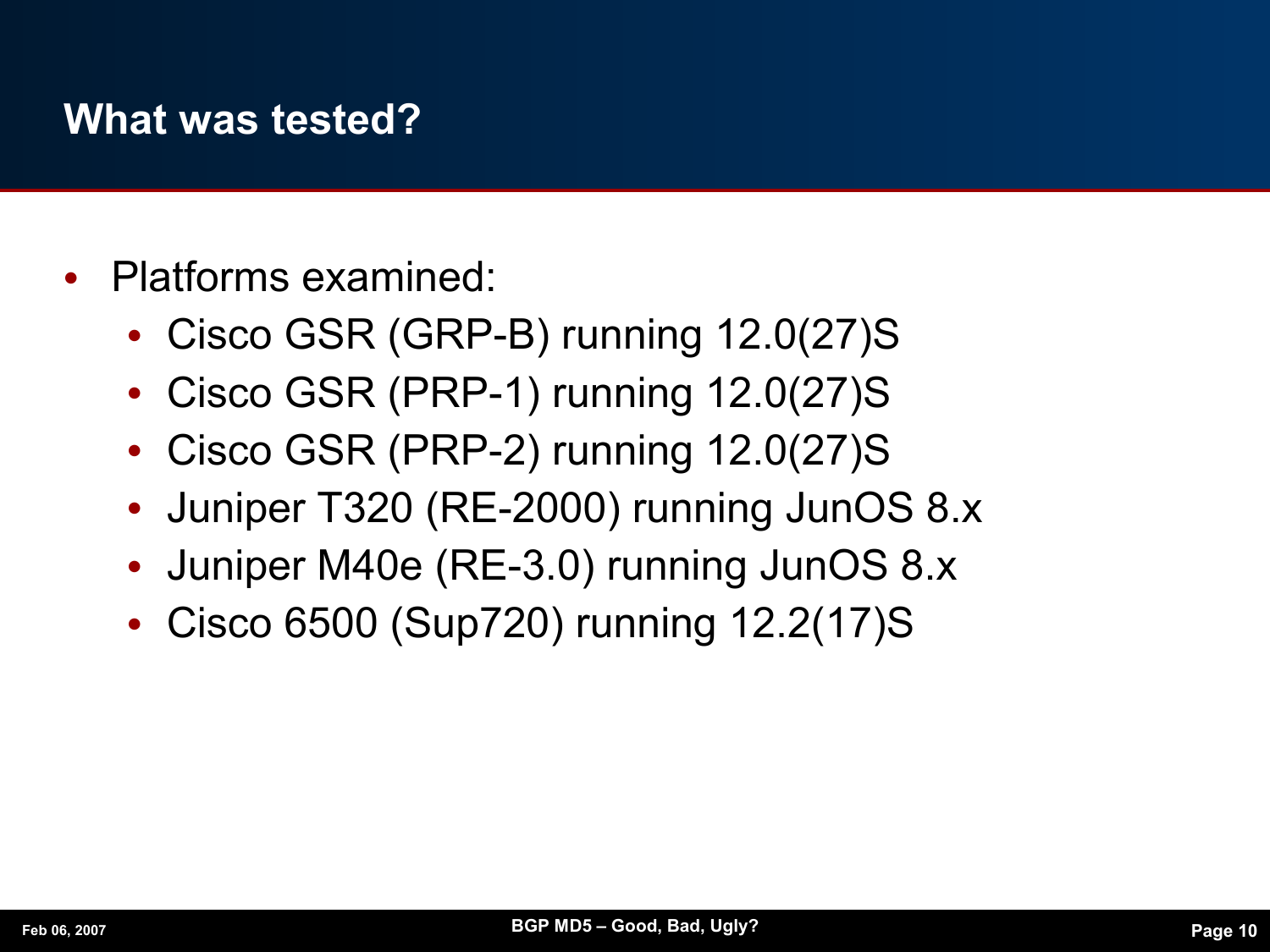#### **What was tested?**

- **•** Platforms examined:
	- **•** Cisco GSR (GRP-B) running 12.0(27)S
	- **•** Cisco GSR (PRP-1) running 12.0(27)S
	- **•** Cisco GSR (PRP-2) running 12.0(27)S
	- **•** Juniper T320 (RE-2000) running JunOS 8.x
	- **•** Juniper M40e (RE-3.0) running JunOS 8.x
	- **•** Cisco 6500 (Sup720) running 12.2(17)S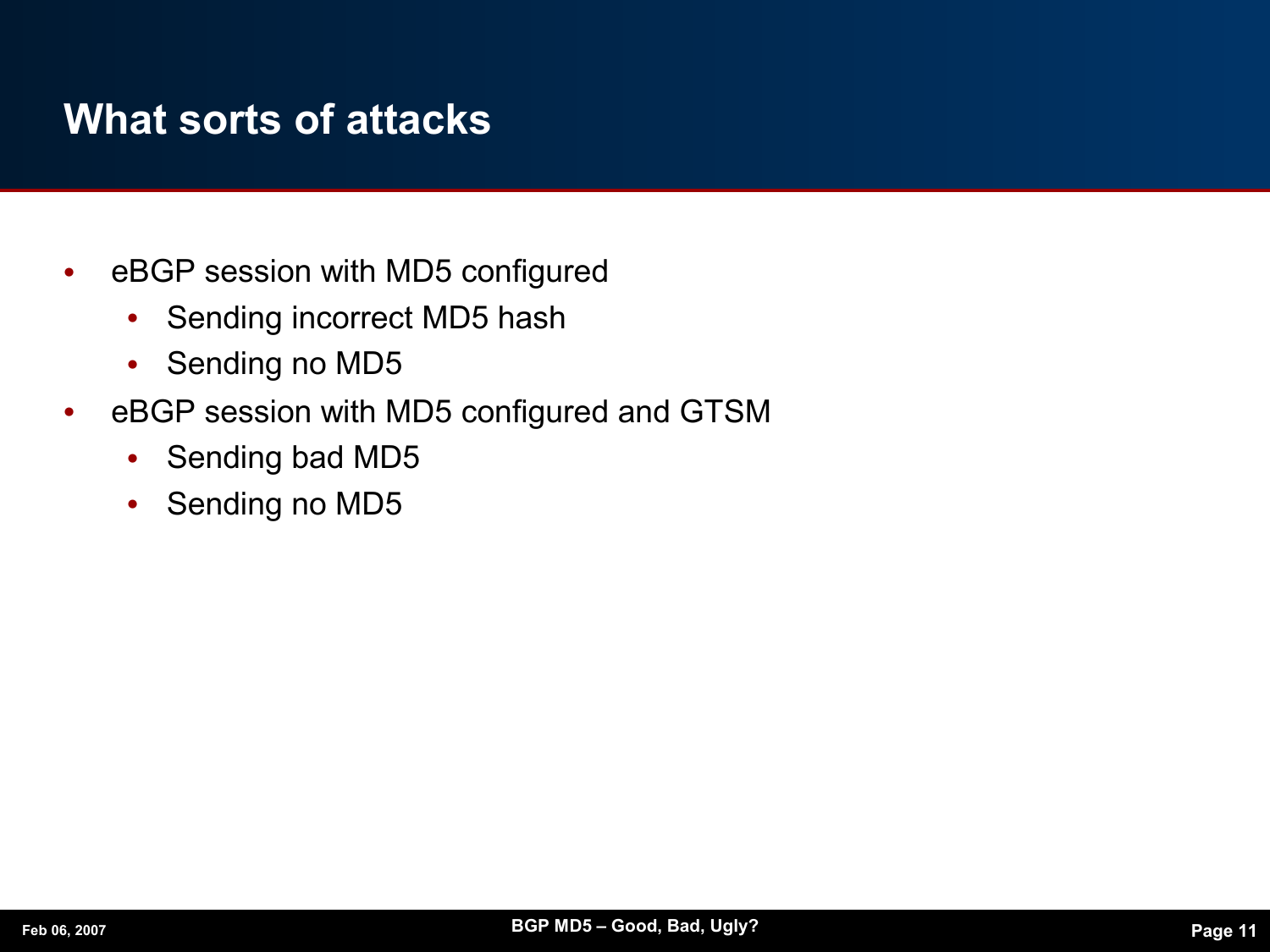#### **What sorts of attacks**

- **•** eBGP session with MD5 configured
	- **•** Sending incorrect MD5 hash
	- **•** Sending no MD5
- **•** eBGP session with MD5 configured and GTSM
	- **•** Sending bad MD5
	- **•** Sending no MD5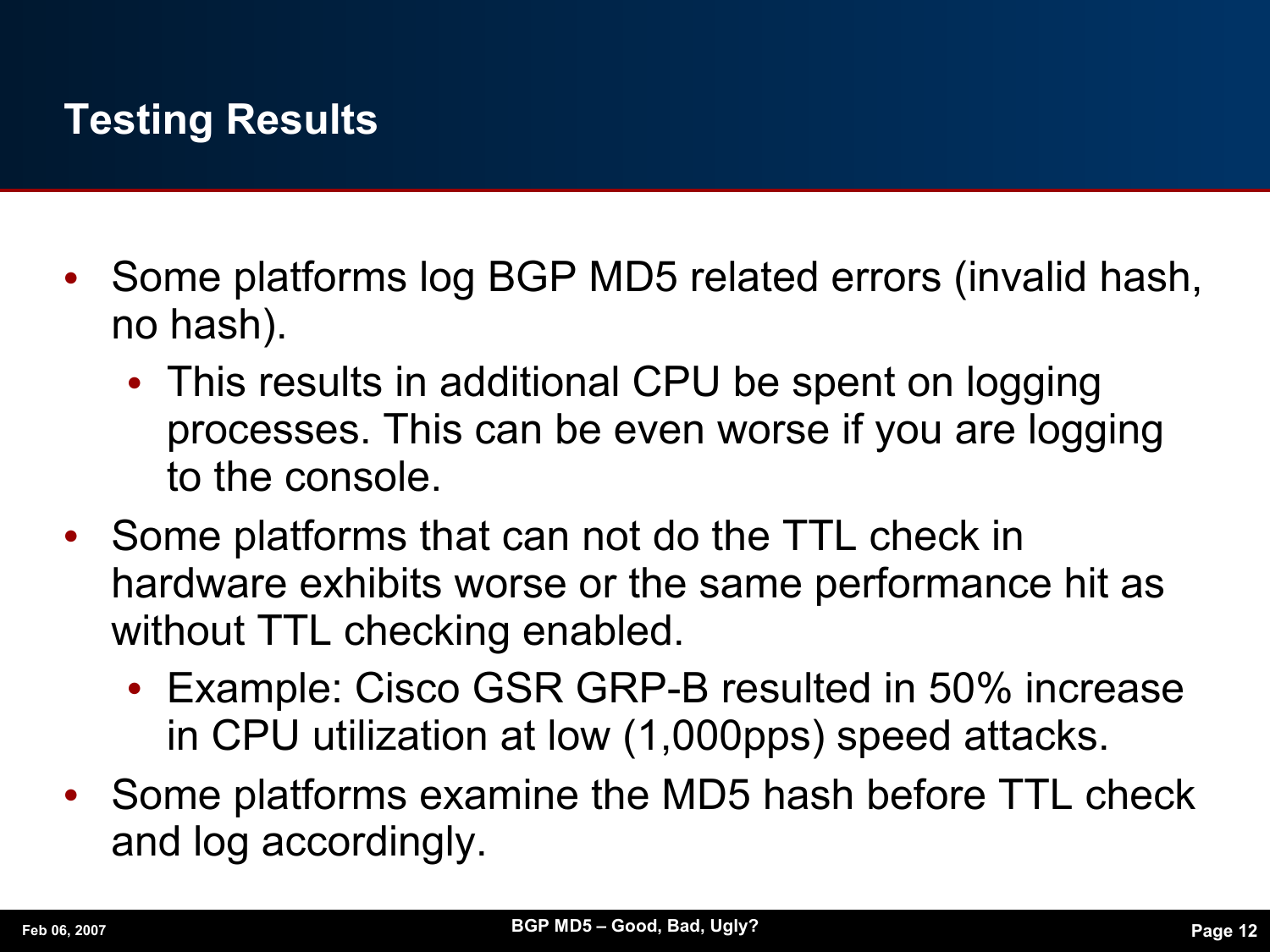### **Testing Results**

- **•** Some platforms log BGP MD5 related errors (invalid hash, no hash).
	- **•** This results in additional CPU be spent on logging processes. This can be even worse if you are logging to the console.
- **•** Some platforms that can not do the TTL check in hardware exhibits worse or the same performance hit as without TTL checking enabled.
	- **•** Example: Cisco GSR GRP-B resulted in 50% increase in CPU utilization at low (1,000pps) speed attacks.
- **•** Some platforms examine the MD5 hash before TTL check and log accordingly.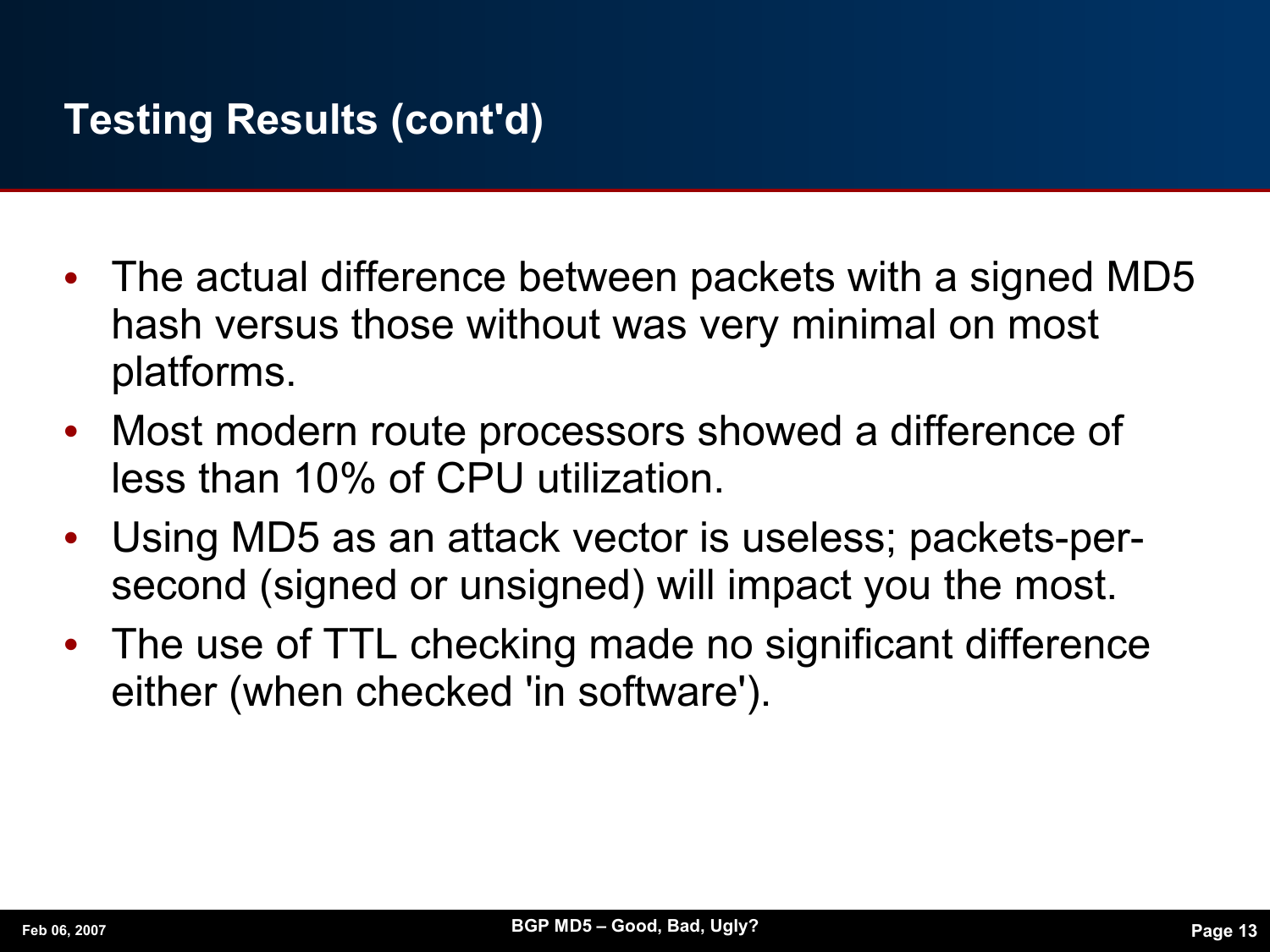#### **Testing Results (cont'd)**

- **•** The actual difference between packets with a signed MD5 hash versus those without was very minimal on most platforms.
- **•** Most modern route processors showed a difference of less than 10% of CPU utilization.
- **•** Using MD5 as an attack vector is useless; packets-persecond (signed or unsigned) will impact you the most.
- **•** The use of TTL checking made no significant difference either (when checked 'in software').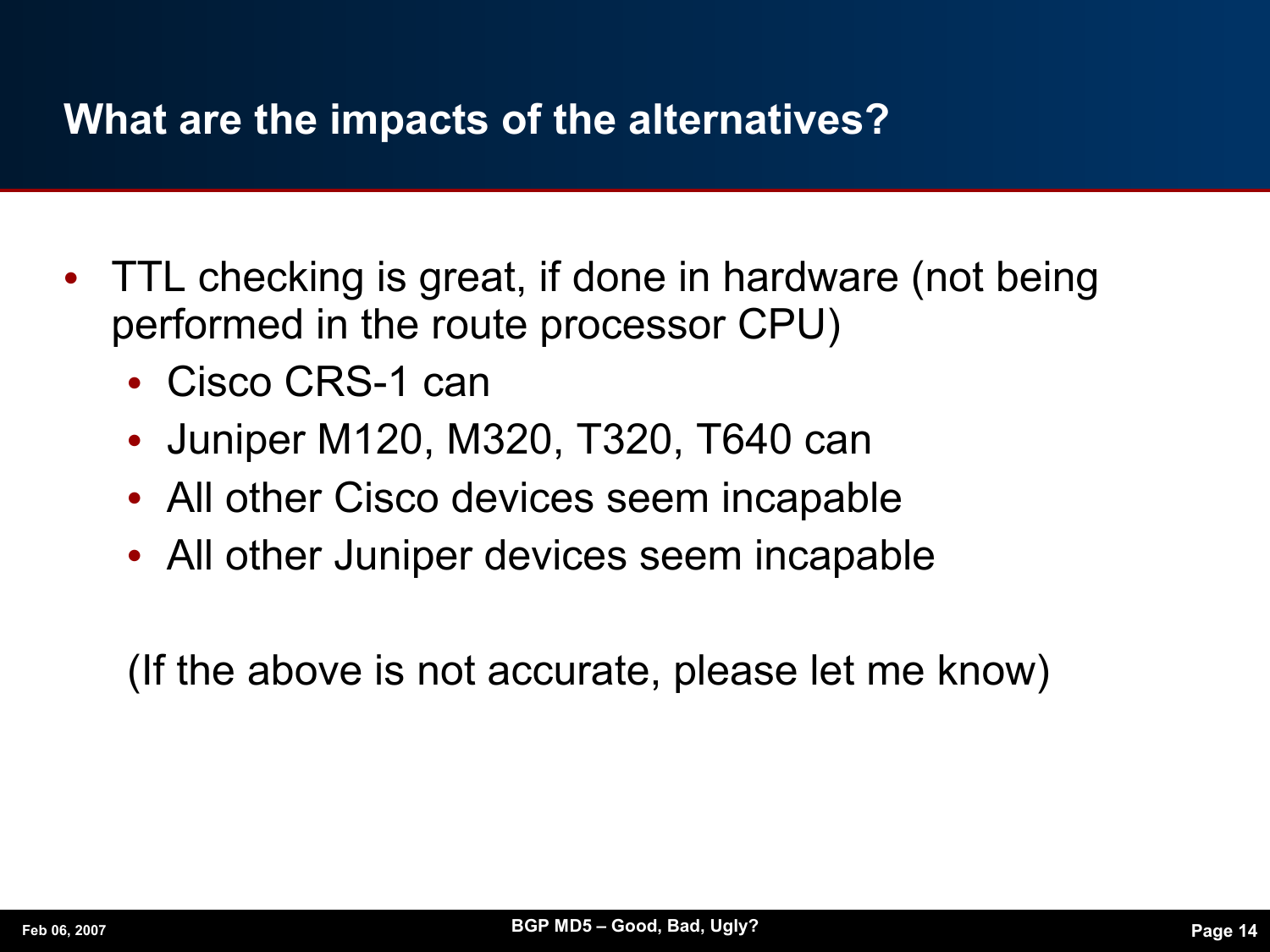#### **What are the impacts of the alternatives?**

- **•** TTL checking is great, if done in hardware (not being performed in the route processor CPU)
	- **•** Cisco CRS-1 can
	- **•** Juniper M120, M320, T320, T640 can
	- **•** All other Cisco devices seem incapable
	- **•** All other Juniper devices seem incapable

(If the above is not accurate, please let me know)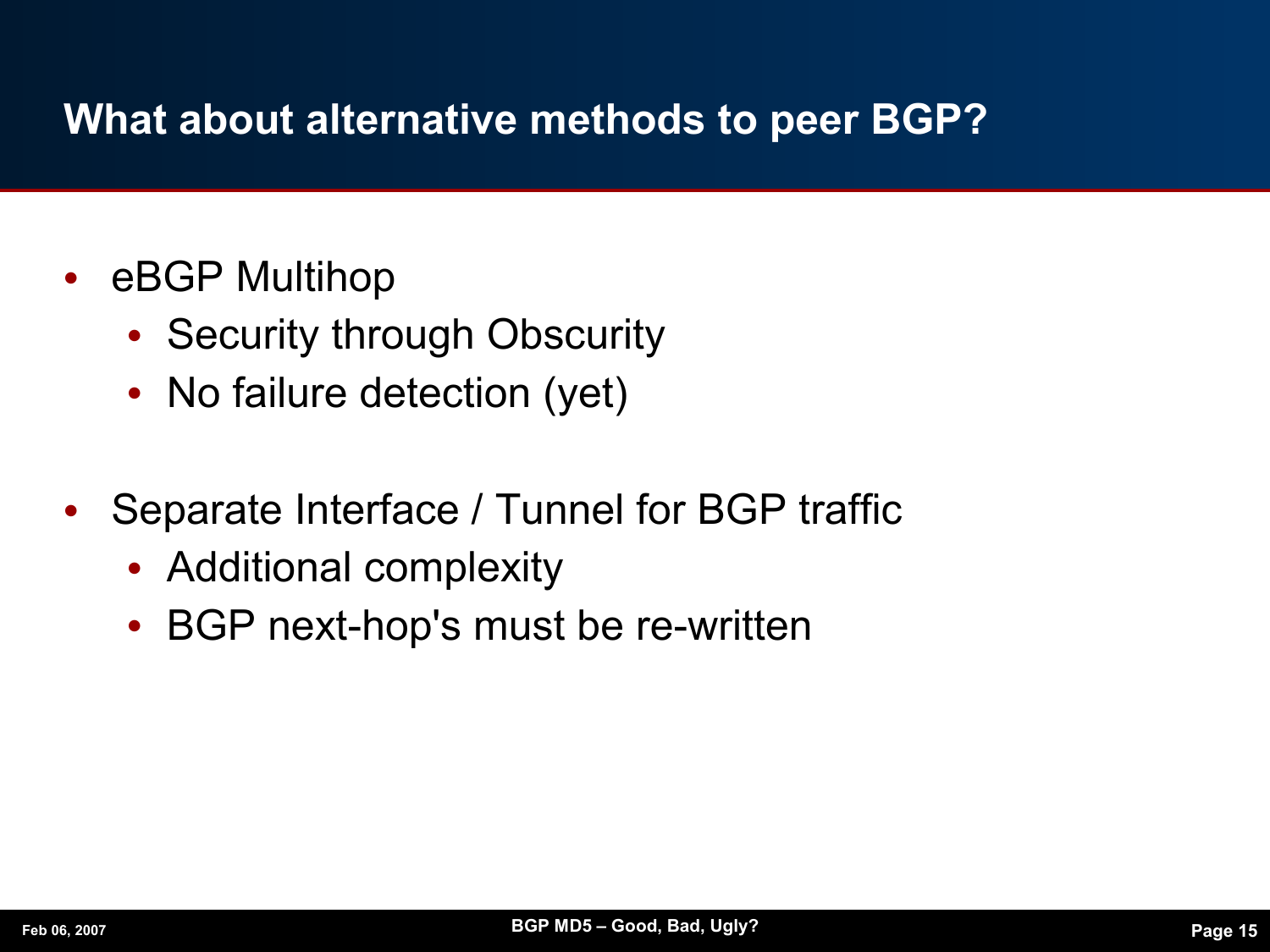#### **What about alternative methods to peer BGP?**

- **•** eBGP Multihop
	- **•** Security through Obscurity
	- No failure detection (yet)
- **•** Separate Interface / Tunnel for BGP traffic
	- **•** Additional complexity
	- **•** BGP next-hop's must be re-written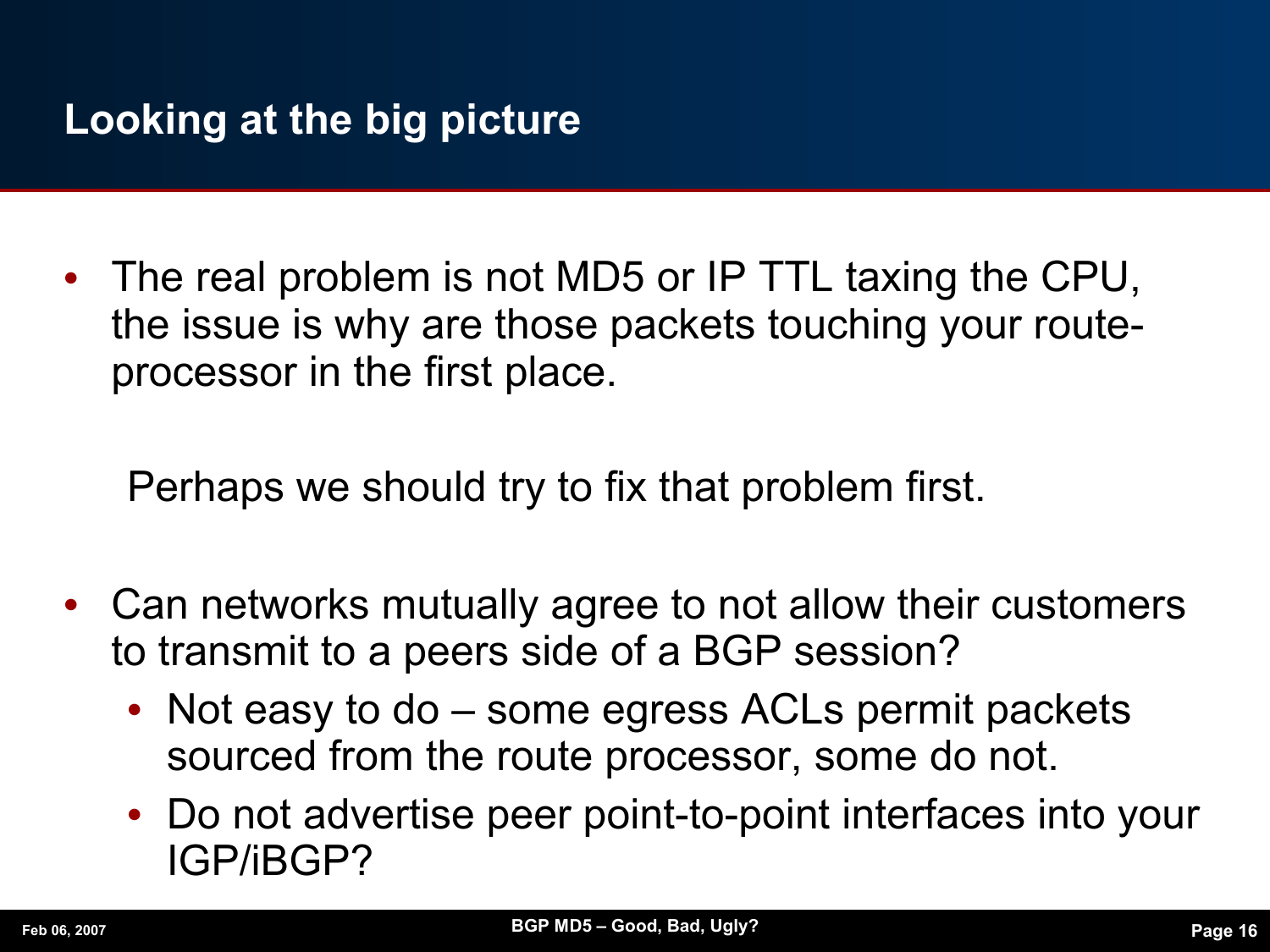**•** The real problem is not MD5 or IP TTL taxing the CPU, the issue is why are those packets touching your routeprocessor in the first place.

Perhaps we should try to fix that problem first.

- **•** Can networks mutually agree to not allow their customers to transmit to a peers side of a BGP session?
	- **•** Not easy to do some egress ACLs permit packets sourced from the route processor, some do not.
	- **•** Do not advertise peer point-to-point interfaces into your IGP/iBGP?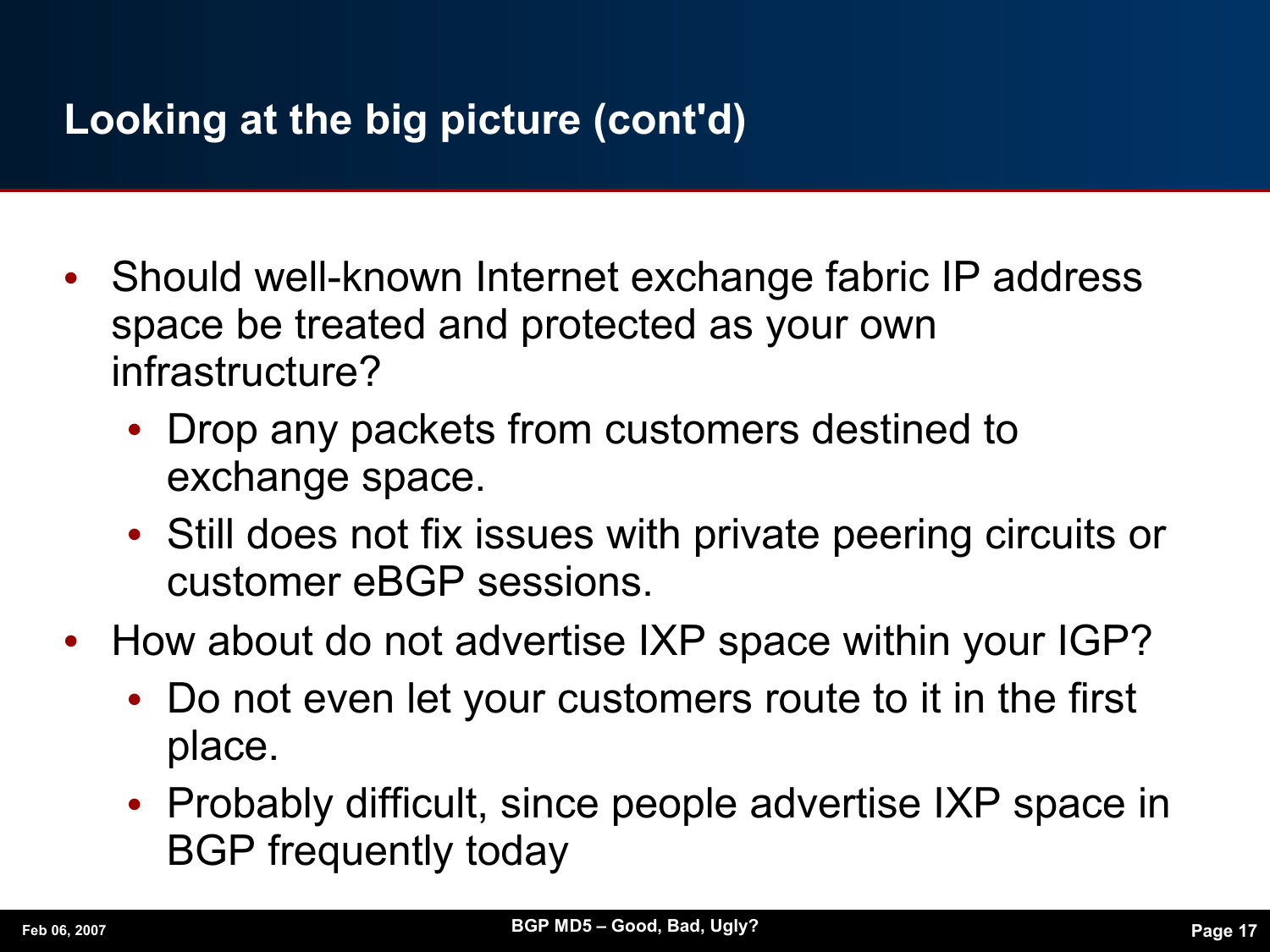### **Looking at the big picture (cont'd)**

- **•** Should well-known Internet exchange fabric IP address space be treated and protected as your own infrastructure?
	- **•** Drop any packets from customers destined to exchange space.
	- **•** Still does not fix issues with private peering circuits or customer eBGP sessions.
- **•** How about do not advertise IXP space within your IGP?
	- **•** Do not even let your customers route to it in the first place.
	- **•** Probably difficult, since people advertise IXP space in BGP frequently today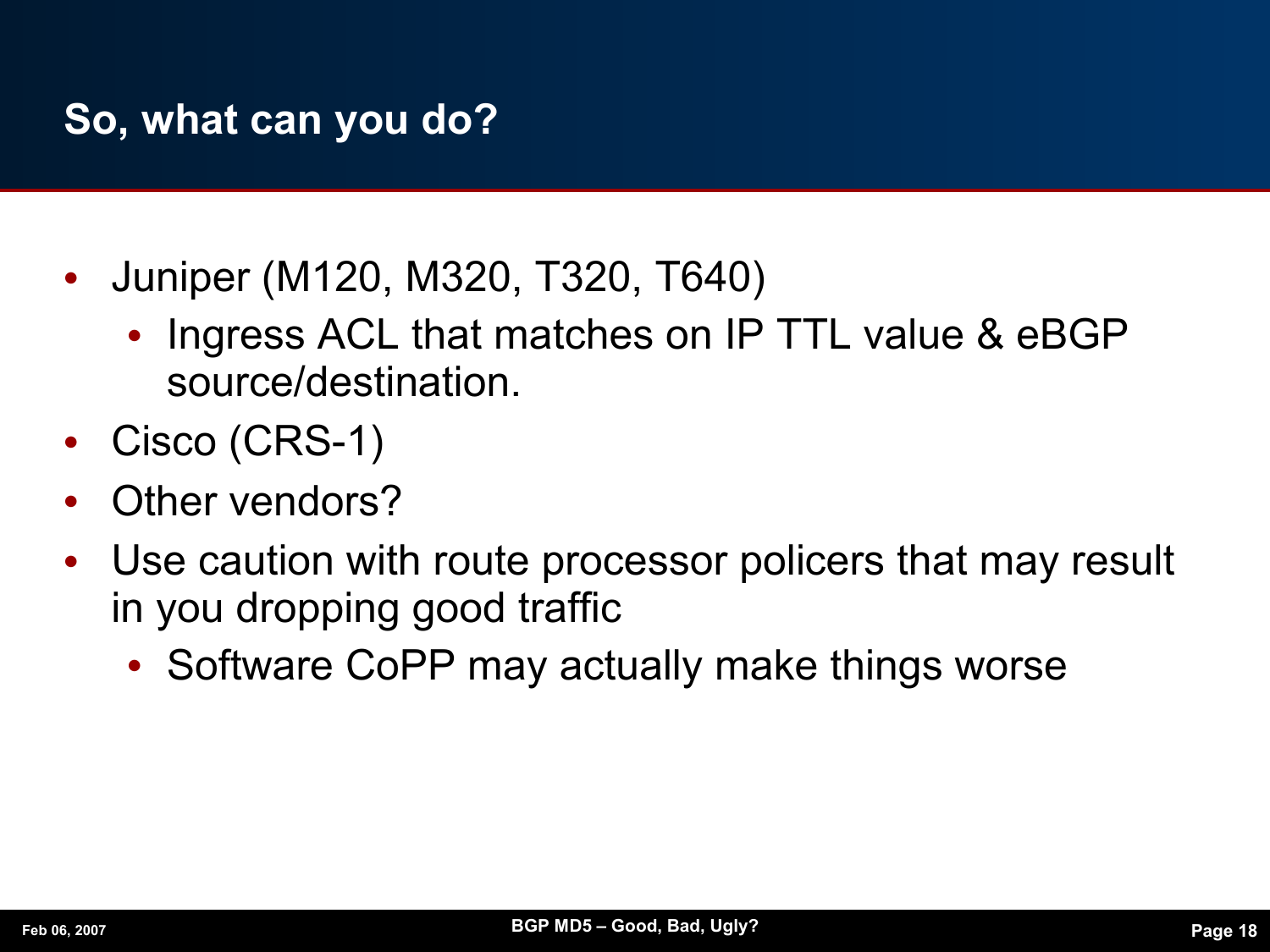#### **So, what can you do?**

- **•** Juniper (M120, M320, T320, T640)
	- **•** Ingress ACL that matches on IP TTL value & eBGP source/destination.
- **•** Cisco (CRS-1)
- **•** Other vendors?
- **•** Use caution with route processor policers that may result in you dropping good traffic
	- **•** Software CoPP may actually make things worse